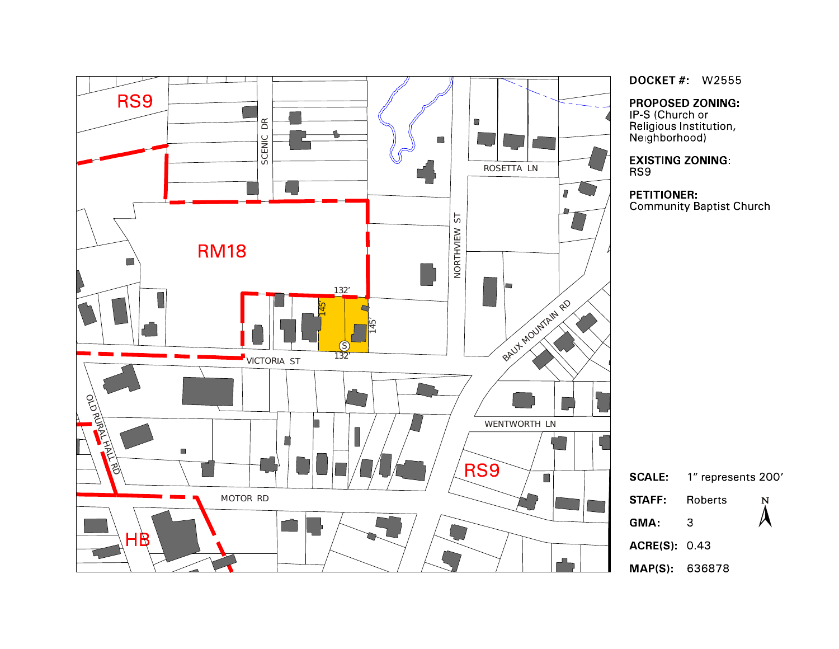

**DOCKET #: W2555** 

**PROPOSED ZONING:** 

IP-S (Church or ne condition<br>Religious Institution,<br>Neighborhood)

**EXISTING ZONING:** 

# **PETITIONER:**

**Community Baptist Church** 



MAP(S): 636878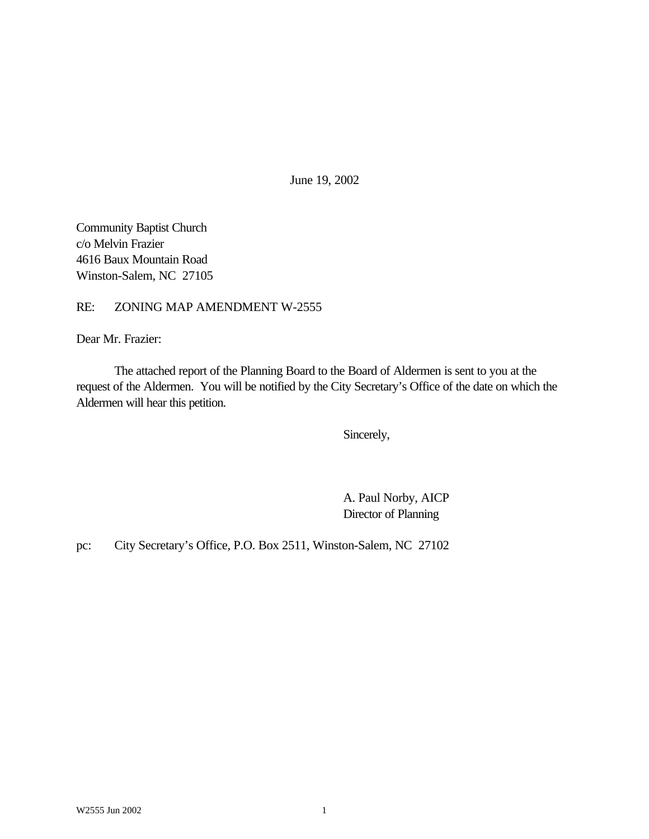June 19, 2002

Community Baptist Church c/o Melvin Frazier 4616 Baux Mountain Road Winston-Salem, NC 27105

#### RE: ZONING MAP AMENDMENT W-2555

Dear Mr. Frazier:

The attached report of the Planning Board to the Board of Aldermen is sent to you at the request of the Aldermen. You will be notified by the City Secretary's Office of the date on which the Aldermen will hear this petition.

Sincerely,

A. Paul Norby, AICP Director of Planning

pc: City Secretary's Office, P.O. Box 2511, Winston-Salem, NC 27102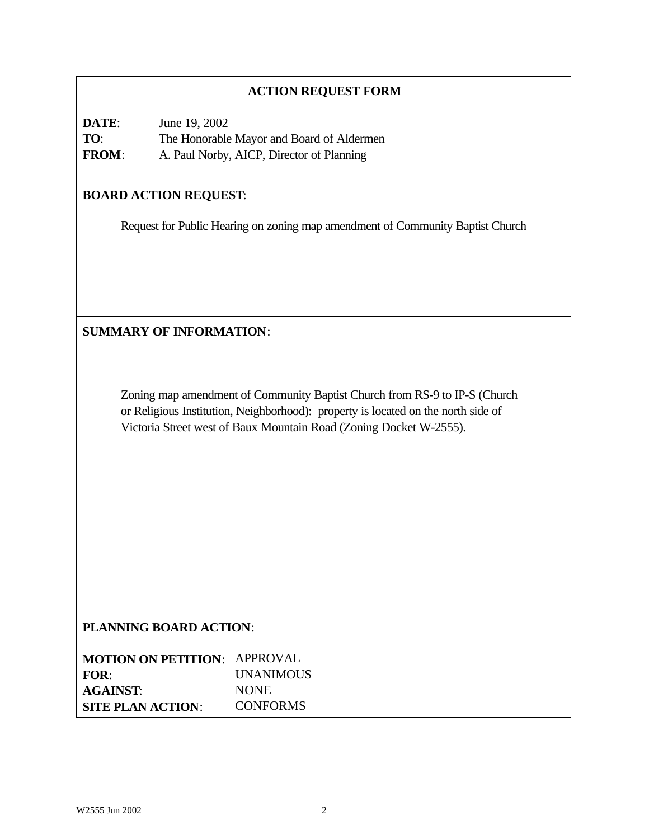### **ACTION REQUEST FORM**

**DATE**: June 19, 2002 **TO**: The Honorable Mayor and Board of Aldermen **FROM**: A. Paul Norby, AICP, Director of Planning

## **BOARD ACTION REQUEST**:

Request for Public Hearing on zoning map amendment of Community Baptist Church

**SUMMARY OF INFORMATION**:

Zoning map amendment of Community Baptist Church from RS-9 to IP-S (Church or Religious Institution, Neighborhood): property is located on the north side of Victoria Street west of Baux Mountain Road (Zoning Docket W-2555).

### **PLANNING BOARD ACTION**:

| <b>MOTION ON PETITION: APPROVAL</b> |                  |
|-------------------------------------|------------------|
| FOR:                                | <b>UNANIMOUS</b> |
| <b>AGAINST:</b>                     | <b>NONE</b>      |
| <b>SITE PLAN ACTION:</b>            | <b>CONFORMS</b>  |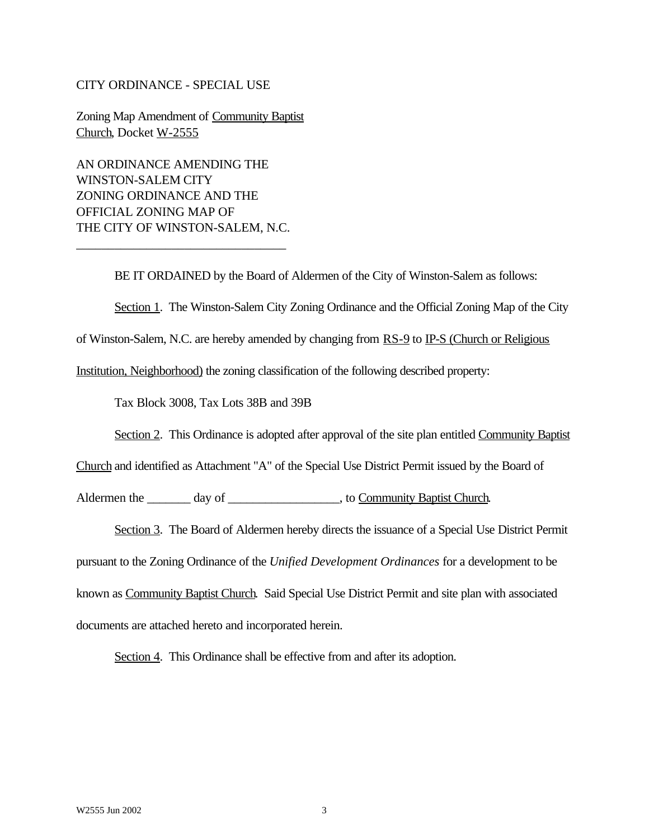#### CITY ORDINANCE - SPECIAL USE

Zoning Map Amendment of Community Baptist Church, Docket W-2555

AN ORDINANCE AMENDING THE WINSTON-SALEM CITY ZONING ORDINANCE AND THE OFFICIAL ZONING MAP OF THE CITY OF WINSTON-SALEM, N.C.

\_\_\_\_\_\_\_\_\_\_\_\_\_\_\_\_\_\_\_\_\_\_\_\_\_\_\_\_\_\_\_\_\_

BE IT ORDAINED by the Board of Aldermen of the City of Winston-Salem as follows:

Section 1. The Winston-Salem City Zoning Ordinance and the Official Zoning Map of the City

of Winston-Salem, N.C. are hereby amended by changing from RS-9 to IP-S (Church or Religious

Institution, Neighborhood) the zoning classification of the following described property:

Tax Block 3008, Tax Lots 38B and 39B

Section 2. This Ordinance is adopted after approval of the site plan entitled Community Baptist

Church and identified as Attachment "A" of the Special Use District Permit issued by the Board of

Aldermen the \_\_\_\_\_\_\_ day of \_\_\_\_\_\_\_\_\_\_\_\_\_\_\_\_\_\_, to Community Baptist Church.

Section 3. The Board of Aldermen hereby directs the issuance of a Special Use District Permit

pursuant to the Zoning Ordinance of the *Unified Development Ordinances* for a development to be known as Community Baptist Church. Said Special Use District Permit and site plan with associated documents are attached hereto and incorporated herein.

Section 4. This Ordinance shall be effective from and after its adoption.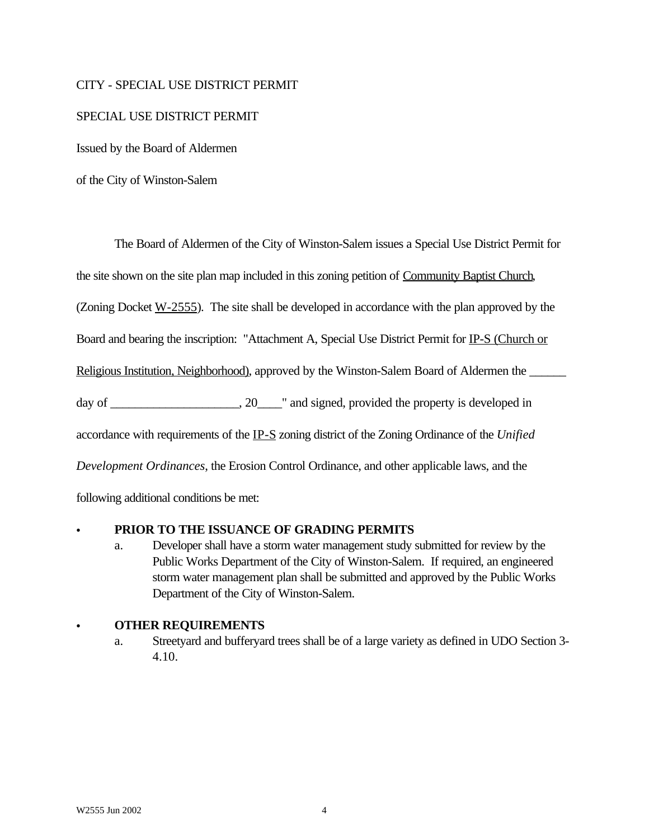### CITY - SPECIAL USE DISTRICT PERMIT

#### SPECIAL USE DISTRICT PERMIT

Issued by the Board of Aldermen

of the City of Winston-Salem

The Board of Aldermen of the City of Winston-Salem issues a Special Use District Permit for the site shown on the site plan map included in this zoning petition of Community Baptist Church, (Zoning Docket  $W-2555$ ). The site shall be developed in accordance with the plan approved by the Board and bearing the inscription: "Attachment A, Special Use District Permit for IP-S (Church or Religious Institution, Neighborhood), approved by the Winston-Salem Board of Aldermen the day of \_\_\_\_\_\_\_\_\_\_\_\_\_\_\_\_\_\_\_\_, 20\_\_\_\_\_" and signed, provided the property is developed in accordance with requirements of the IP-S zoning district of the Zoning Ordinance of the *Unified Development Ordinances*, the Erosion Control Ordinance, and other applicable laws, and the following additional conditions be met:

#### PRIOR TO THE ISSUANCE OF GRADING PERMITS

a. Developer shall have a storm water management study submitted for review by the Public Works Department of the City of Winston-Salem. If required, an engineered storm water management plan shall be submitted and approved by the Public Works Department of the City of Winston-Salem.

#### C **OTHER REQUIREMENTS**

a. Streetyard and bufferyard trees shall be of a large variety as defined in UDO Section 3- 4.10.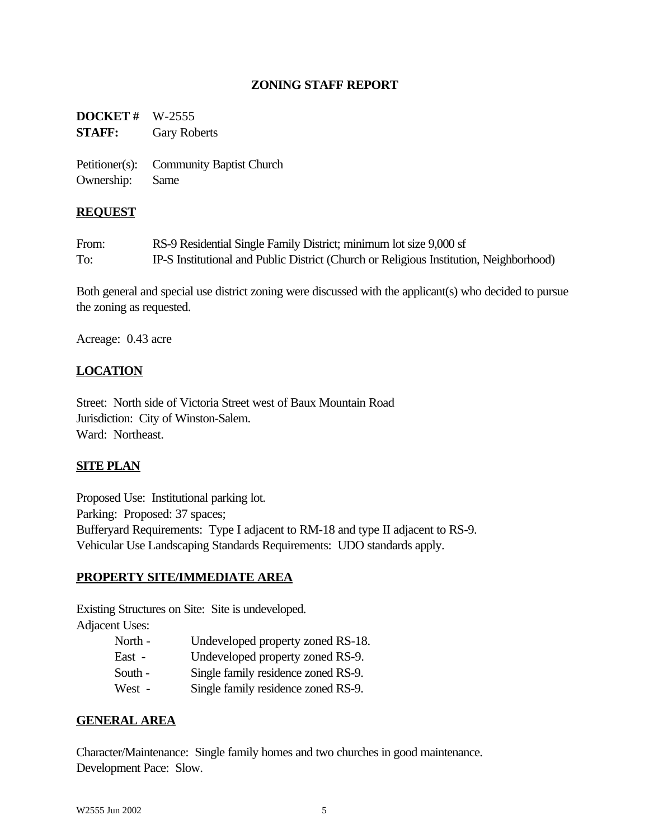### **ZONING STAFF REPORT**

**DOCKET #** W-2555 **STAFF:** Gary Roberts

Petitioner(s): Community Baptist Church Ownership: Same

#### **REQUEST**

| From: | RS-9 Residential Single Family District; minimum lot size 9,000 sf                     |
|-------|----------------------------------------------------------------------------------------|
| To:   | IP-S Institutional and Public District (Church or Religious Institution, Neighborhood) |

Both general and special use district zoning were discussed with the applicant(s) who decided to pursue the zoning as requested.

Acreage: 0.43 acre

#### **LOCATION**

Street: North side of Victoria Street west of Baux Mountain Road Jurisdiction: City of Winston-Salem. Ward: Northeast.

#### **SITE PLAN**

Proposed Use: Institutional parking lot. Parking: Proposed: 37 spaces; Bufferyard Requirements: Type I adjacent to RM-18 and type II adjacent to RS-9. Vehicular Use Landscaping Standards Requirements: UDO standards apply.

#### **PROPERTY SITE/IMMEDIATE AREA**

Existing Structures on Site: Site is undeveloped. Adjacent Uses:

| North - | Undeveloped property zoned RS-18.   |
|---------|-------------------------------------|
| East -  | Undeveloped property zoned RS-9.    |
| South - | Single family residence zoned RS-9. |
| West -  | Single family residence zoned RS-9. |

#### **GENERAL AREA**

Character/Maintenance: Single family homes and two churches in good maintenance. Development Pace: Slow.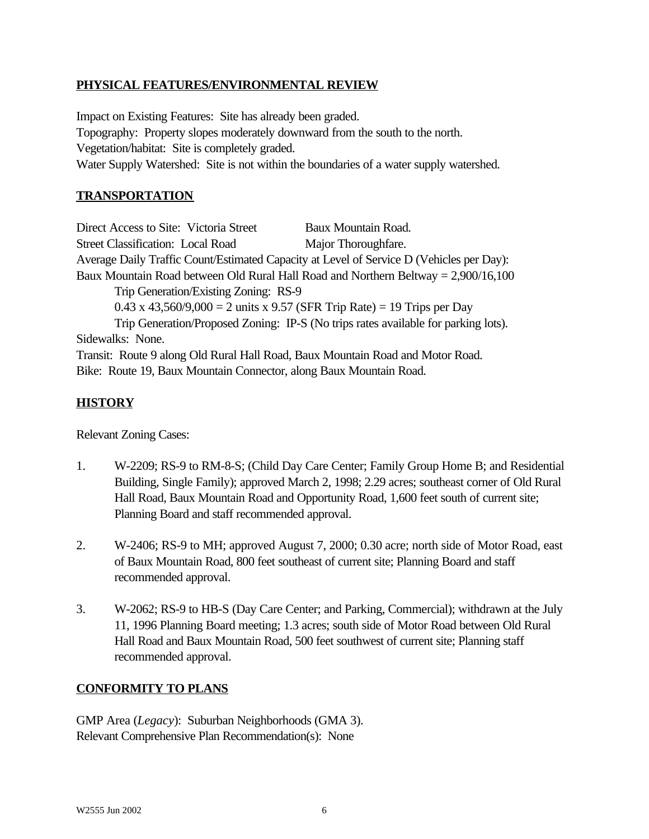### **PHYSICAL FEATURES/ENVIRONMENTAL REVIEW**

Impact on Existing Features: Site has already been graded. Topography: Property slopes moderately downward from the south to the north. Vegetation/habitat: Site is completely graded. Water Supply Watershed: Site is not within the boundaries of a water supply watershed.

### **TRANSPORTATION**

Direct Access to Site: Victoria Street Baux Mountain Road. Street Classification: Local Road Major Thoroughfare. Average Daily Traffic Count/Estimated Capacity at Level of Service D (Vehicles per Day): Baux Mountain Road between Old Rural Hall Road and Northern Beltway = 2,900/16,100 Trip Generation/Existing Zoning: RS-9 0.43 x 43,560/9,000 = 2 units x 9.57 (SFR Trip Rate) = 19 Trips per Day Trip Generation/Proposed Zoning: IP-S (No trips rates available for parking lots). Sidewalks: None. Transit: Route 9 along Old Rural Hall Road, Baux Mountain Road and Motor Road. Bike: Route 19, Baux Mountain Connector, along Baux Mountain Road.

### **HISTORY**

Relevant Zoning Cases:

- 1. W-2209; RS-9 to RM-8-S; (Child Day Care Center; Family Group Home B; and Residential Building, Single Family); approved March 2, 1998; 2.29 acres; southeast corner of Old Rural Hall Road, Baux Mountain Road and Opportunity Road, 1,600 feet south of current site; Planning Board and staff recommended approval.
- 2. W-2406; RS-9 to MH; approved August 7, 2000; 0.30 acre; north side of Motor Road, east of Baux Mountain Road, 800 feet southeast of current site; Planning Board and staff recommended approval.
- 3. W-2062; RS-9 to HB-S (Day Care Center; and Parking, Commercial); withdrawn at the July 11, 1996 Planning Board meeting; 1.3 acres; south side of Motor Road between Old Rural Hall Road and Baux Mountain Road, 500 feet southwest of current site; Planning staff recommended approval.

### **CONFORMITY TO PLANS**

GMP Area (*Legacy*): Suburban Neighborhoods (GMA 3). Relevant Comprehensive Plan Recommendation(s): None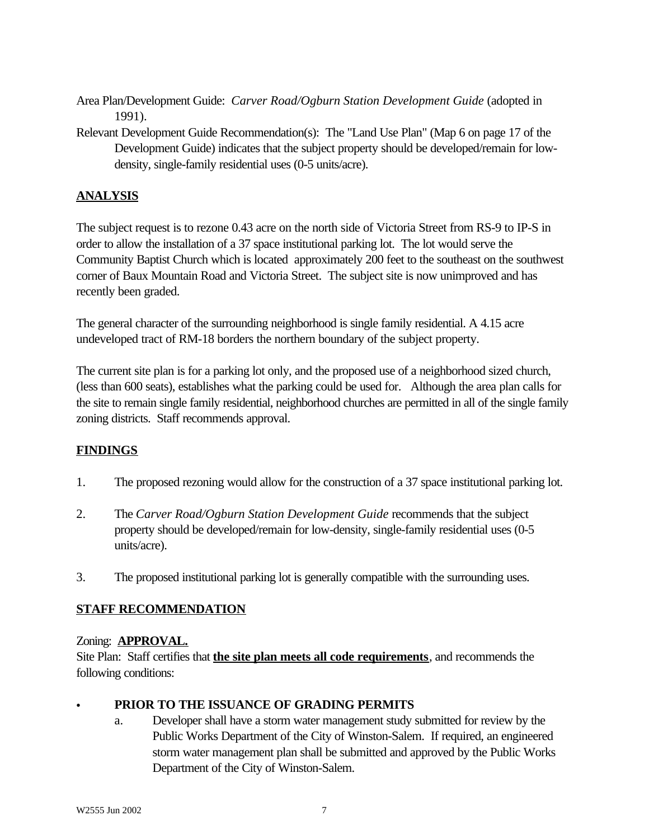Area Plan/Development Guide: *Carver Road/Ogburn Station Development Guide* (adopted in 1991).

Relevant Development Guide Recommendation(s): The "Land Use Plan" (Map 6 on page 17 of the Development Guide) indicates that the subject property should be developed/remain for lowdensity, single-family residential uses (0-5 units/acre).

## **ANALYSIS**

The subject request is to rezone 0.43 acre on the north side of Victoria Street from RS-9 to IP-S in order to allow the installation of a 37 space institutional parking lot. The lot would serve the Community Baptist Church which is located approximately 200 feet to the southeast on the southwest corner of Baux Mountain Road and Victoria Street. The subject site is now unimproved and has recently been graded.

The general character of the surrounding neighborhood is single family residential. A 4.15 acre undeveloped tract of RM-18 borders the northern boundary of the subject property.

The current site plan is for a parking lot only, and the proposed use of a neighborhood sized church, (less than 600 seats), establishes what the parking could be used for. Although the area plan calls for the site to remain single family residential, neighborhood churches are permitted in all of the single family zoning districts. Staff recommends approval.

### **FINDINGS**

- 1. The proposed rezoning would allow for the construction of a 37 space institutional parking lot.
- 2. The *Carver Road/Ogburn Station Development Guide* recommends that the subject property should be developed/remain for low-density, single-family residential uses (0-5 units/acre).
- 3. The proposed institutional parking lot is generally compatible with the surrounding uses.

### **STAFF RECOMMENDATION**

### Zoning: **APPROVAL.**

Site Plan: Staff certifies that **the site plan meets all code requirements**, and recommends the following conditions:

### C **PRIOR TO THE ISSUANCE OF GRADING PERMITS**

a. Developer shall have a storm water management study submitted for review by the Public Works Department of the City of Winston-Salem. If required, an engineered storm water management plan shall be submitted and approved by the Public Works Department of the City of Winston-Salem.